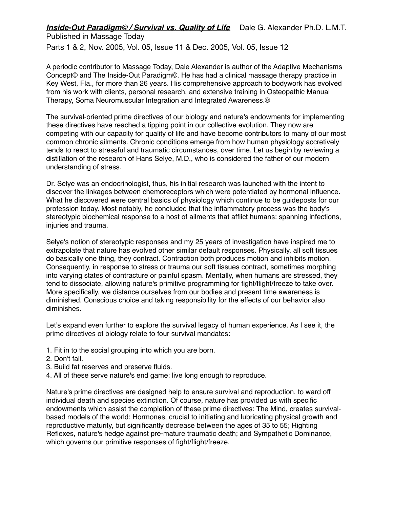Parts 1 & 2, Nov. 2005, Vol. 05, Issue 11 & Dec. 2005, Vol. 05, Issue 12

A periodic contributor to Massage Today, Dale Alexander is author of the Adaptive Mechanisms Concept© and The Inside-Out Paradigm©. He has had a clinical massage therapy practice in Key West, Fla., for more than 26 years. His comprehensive approach to bodywork has evolved from his work with clients, personal research, and extensive training in Osteopathic Manual Therapy, Soma Neuromuscular Integration and Integrated Awareness.®

The survival-oriented prime directives of our biology and nature's endowments for implementing these directives have reached a tipping point in our collective evolution. They now are competing with our capacity for quality of life and have become contributors to many of our most common chronic ailments. Chronic conditions emerge from how human physiology accretively tends to react to stressful and traumatic circumstances, over time. Let us begin by reviewing a distillation of the research of Hans Selye, M.D., who is considered the father of our modern understanding of stress.

Dr. Selye was an endocrinologist, thus, his initial research was launched with the intent to discover the linkages between chemoreceptors which were potentiated by hormonal influence. What he discovered were central basics of physiology which continue to be guideposts for our profession today. Most notably, he concluded that the inflammatory process was the body's stereotypic biochemical response to a host of ailments that afflict humans: spanning infections, injuries and trauma.

Selye's notion of stereotypic responses and my 25 years of investigation have inspired me to extrapolate that nature has evolved other similar default responses. Physically, all soft tissues do basically one thing, they contract. Contraction both produces motion and inhibits motion. Consequently, in response to stress or trauma our soft tissues contract, sometimes morphing into varying states of contracture or painful spasm. Mentally, when humans are stressed, they tend to dissociate, allowing nature's primitive programming for fight/flight/freeze to take over. More specifically, we distance ourselves from our bodies and present time awareness is diminished. Conscious choice and taking responsibility for the effects of our behavior also diminishes.

Let's expand even further to explore the survival legacy of human experience. As I see it, the prime directives of biology relate to four survival mandates:

- 1. Fit in to the social grouping into which you are born.
- 2. Don't fall.
- 3. Build fat reserves and preserve fluids.
- 4. All of these serve nature's end game: live long enough to reproduce.

Nature's prime directives are designed help to ensure survival and reproduction, to ward off individual death and species extinction. Of course, nature has provided us with specific endowments which assist the completion of these prime directives: The Mind, creates survivalbased models of the world; Hormones, crucial to initiating and lubricating physical growth and reproductive maturity, but significantly decrease between the ages of 35 to 55; Righting Reflexes, nature's hedge against pre-mature traumatic death; and Sympathetic Dominance, which governs our primitive responses of fight/flight/freeze.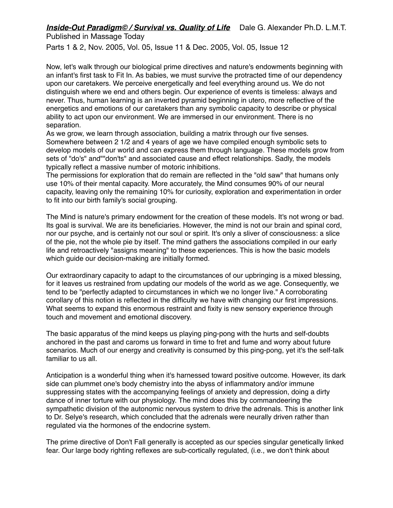Parts 1 & 2, Nov. 2005, Vol. 05, Issue 11 & Dec. 2005, Vol. 05, Issue 12

Now, let's walk through our biological prime directives and nature's endowments beginning with an infant's first task to Fit In. As babies, we must survive the protracted time of our dependency upon our caretakers. We perceive energetically and feel everything around us. We do not distinguish where we end and others begin. Our experience of events is timeless: always and never. Thus, human learning is an inverted pyramid beginning in utero, more reflective of the energetics and emotions of our caretakers than any symbolic capacity to describe or physical ability to act upon our environment. We are immersed in our environment. There is no separation.

As we grow, we learn through association, building a matrix through our five senses. Somewhere between 2 1/2 and 4 years of age we have compiled enough symbolic sets to develop models of our world and can express them through language. These models grow from sets of "do's" and""don'ts" and associated cause and effect relationships. Sadly, the models typically reflect a massive number of motoric inhibitions.

The permissions for exploration that do remain are reflected in the "old saw" that humans only use 10% of their mental capacity. More accurately, the Mind consumes 90% of our neural capacity, leaving only the remaining 10% for curiosity, exploration and experimentation in order to fit into our birth family's social grouping.

The Mind is nature's primary endowment for the creation of these models. It's not wrong or bad. Its goal is survival. We are its beneficiaries. However, the mind is not our brain and spinal cord, nor our psyche, and is certainly not our soul or spirit. It's only a sliver of consciousness: a slice of the pie, not the whole pie by itself. The mind gathers the associations compiled in our early life and retroactively "assigns meaning" to these experiences. This is how the basic models which quide our decision-making are initially formed.

Our extraordinary capacity to adapt to the circumstances of our upbringing is a mixed blessing, for it leaves us restrained from updating our models of the world as we age. Consequently, we tend to be "perfectly adapted to circumstances in which we no longer live." A corroborating corollary of this notion is reflected in the difficulty we have with changing our first impressions. What seems to expand this enormous restraint and fixity is new sensory experience through touch and movement and emotional discovery.

The basic apparatus of the mind keeps us playing ping-pong with the hurts and self-doubts anchored in the past and caroms us forward in time to fret and fume and worry about future scenarios. Much of our energy and creativity is consumed by this ping-pong, yet it's the self-talk familiar to us all.

Anticipation is a wonderful thing when it's harnessed toward positive outcome. However, its dark side can plummet one's body chemistry into the abyss of inflammatory and/or immune suppressing states with the accompanying feelings of anxiety and depression, doing a dirty dance of inner torture with our physiology. The mind does this by commandeering the sympathetic division of the autonomic nervous system to drive the adrenals. This is another link to Dr. Selye's research, which concluded that the adrenals were neurally driven rather than regulated via the hormones of the endocrine system.

The prime directive of Don't Fall generally is accepted as our species singular genetically linked fear. Our large body righting reflexes are sub-cortically regulated, (i.e., we don't think about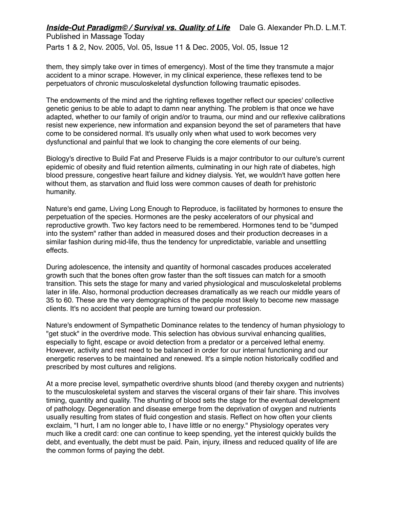Parts 1 & 2, Nov. 2005, Vol. 05, Issue 11 & Dec. 2005, Vol. 05, Issue 12

them, they simply take over in times of emergency). Most of the time they transmute a major accident to a minor scrape. However, in my clinical experience, these reflexes tend to be perpetuators of chronic musculoskeletal dysfunction following traumatic episodes.

The endowments of the mind and the righting reflexes together reflect our species' collective genetic genius to be able to adapt to damn near anything. The problem is that once we have adapted, whether to our family of origin and/or to trauma, our mind and our reflexive calibrations resist new experience, new information and expansion beyond the set of parameters that have come to be considered normal. It's usually only when what used to work becomes very dysfunctional and painful that we look to changing the core elements of our being.

Biology's directive to Build Fat and Preserve Fluids is a major contributor to our culture's current epidemic of obesity and fluid retention ailments, culminating in our high rate of diabetes, high blood pressure, congestive heart failure and kidney dialysis. Yet, we wouldn't have gotten here without them, as starvation and fluid loss were common causes of death for prehistoric humanity.

Nature's end game, Living Long Enough to Reproduce, is facilitated by hormones to ensure the perpetuation of the species. Hormones are the pesky accelerators of our physical and reproductive growth. Two key factors need to be remembered. Hormones tend to be "dumped into the system" rather than added in measured doses and their production decreases in a similar fashion during mid-life, thus the tendency for unpredictable, variable and unsettling effects.

During adolescence, the intensity and quantity of hormonal cascades produces accelerated growth such that the bones often grow faster than the soft tissues can match for a smooth transition. This sets the stage for many and varied physiological and musculoskeletal problems later in life. Also, hormonal production decreases dramatically as we reach our middle years of 35 to 60. These are the very demographics of the people most likely to become new massage clients. It's no accident that people are turning toward our profession.

Nature's endowment of Sympathetic Dominance relates to the tendency of human physiology to "get stuck" in the overdrive mode. This selection has obvious survival enhancing qualities, especially to fight, escape or avoid detection from a predator or a perceived lethal enemy. However, activity and rest need to be balanced in order for our internal functioning and our energetic reserves to be maintained and renewed. It's a simple notion historically codified and prescribed by most cultures and religions.

At a more precise level, sympathetic overdrive shunts blood (and thereby oxygen and nutrients) to the musculoskeletal system and starves the visceral organs of their fair share. This involves timing, quantity and quality. The shunting of blood sets the stage for the eventual development of pathology. Degeneration and disease emerge from the deprivation of oxygen and nutrients usually resulting from states of fluid congestion and stasis. Reflect on how often your clients exclaim, "I hurt, I am no longer able to, I have little or no energy." Physiology operates very much like a credit card: one can continue to keep spending, yet the interest quickly builds the debt, and eventually, the debt must be paid. Pain, injury, illness and reduced quality of life are the common forms of paying the debt.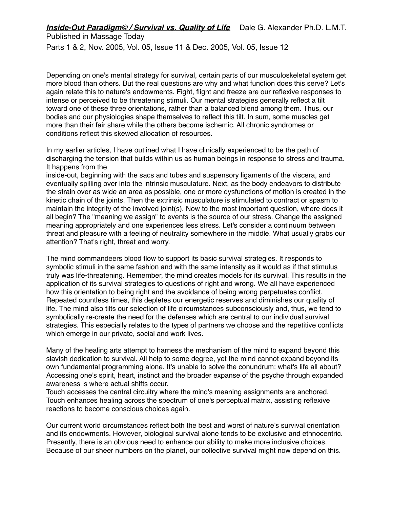Parts 1 & 2, Nov. 2005, Vol. 05, Issue 11 & Dec. 2005, Vol. 05, Issue 12

Depending on one's mental strategy for survival, certain parts of our musculoskeletal system get more blood than others. But the real questions are why and what function does this serve? Let's again relate this to nature's endowments. Fight, flight and freeze are our reflexive responses to intense or perceived to be threatening stimuli. Our mental strategies generally reflect a tilt toward one of these three orientations, rather than a balanced blend among them. Thus, our bodies and our physiologies shape themselves to reflect this tilt. In sum, some muscles get more than their fair share while the others become ischemic. All chronic syndromes or conditions reflect this skewed allocation of resources.

In my earlier articles, I have outlined what I have clinically experienced to be the path of discharging the tension that builds within us as human beings in response to stress and trauma. It happens from the

inside-out, beginning with the sacs and tubes and suspensory ligaments of the viscera, and eventually spilling over into the intrinsic musculature. Next, as the body endeavors to distribute the strain over as wide an area as possible, one or more dysfunctions of motion is created in the kinetic chain of the joints. Then the extrinsic musculature is stimulated to contract or spasm to maintain the integrity of the involved joint(s). Now to the most important question, where does it all begin? The "meaning we assign" to events is the source of our stress. Change the assigned meaning appropriately and one experiences less stress. Let's consider a continuum between threat and pleasure with a feeling of neutrality somewhere in the middle. What usually grabs our attention? That's right, threat and worry.

The mind commandeers blood flow to support its basic survival strategies. It responds to symbolic stimuli in the same fashion and with the same intensity as it would as if that stimulus truly was life-threatening. Remember, the mind creates models for its survival. This results in the application of its survival strategies to questions of right and wrong. We all have experienced how this orientation to being right and the avoidance of being wrong perpetuates conflict. Repeated countless times, this depletes our energetic reserves and diminishes our quality of life. The mind also tilts our selection of life circumstances subconsciously and, thus, we tend to symbolically re-create the need for the defenses which are central to our individual survival strategies. This especially relates to the types of partners we choose and the repetitive conflicts which emerge in our private, social and work lives.

Many of the healing arts attempt to harness the mechanism of the mind to expand beyond this slavish dedication to survival. All help to some degree, yet the mind cannot expand beyond its own fundamental programming alone. It's unable to solve the conundrum: what's life all about? Accessing one's spirit, heart, instinct and the broader expanse of the psyche through expanded awareness is where actual shifts occur.

Touch accesses the central circuitry where the mind's meaning assignments are anchored. Touch enhances healing across the spectrum of one's perceptual matrix, assisting reflexive reactions to become conscious choices again.

Our current world circumstances reflect both the best and worst of nature's survival orientation and its endowments. However, biological survival alone tends to be exclusive and ethnocentric. Presently, there is an obvious need to enhance our ability to make more inclusive choices. Because of our sheer numbers on the planet, our collective survival might now depend on this.